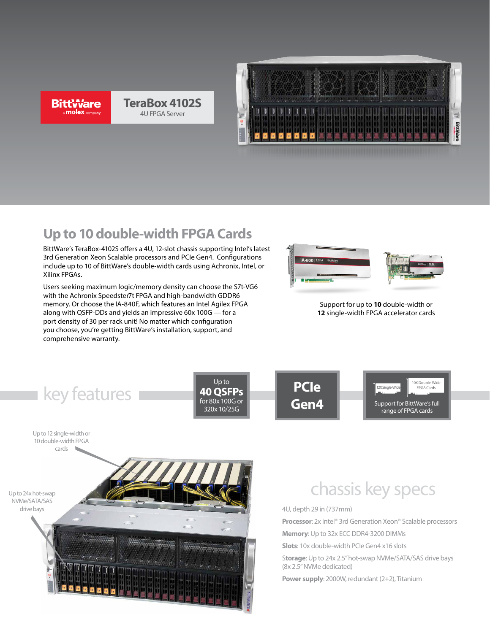**BittWare** a **molex** company

# **TeraBox 4102S** 4U FPGA Server



# **Up to 10 double-width FPGA Cards**

BittWare's TeraBox-4102S offers a 4U, 12-slot chassis supporting Intel's latest 3rd Generation Xeon Scalable processors and PCIe Gen4. Configurations include up to 10 of BittWare's double-width cards using Achronix, Intel, or Xilinx FPGAs.

Users seeking maximum logic/memory density can choose the S7t-VG6 with the Achronix Speedster7t FPGA and high-bandwidth GDDR6 memory. Or choose the IA-840F, which features an Intel Agilex FPGA along with QSFP-DDs and yields an impressive 60x 100G — for a port density of 30 per rack unit! No matter which configuration you choose, you're getting BittWare's installation, support, and comprehensive warranty.





Support for up to **10** double-width or **12** single-width FPGA accelerator cards



10 double-width FPGA cards

Up to 24x hot-swap NVMe/SATA/SAS drive bays



# chassis key specs

4U, depth 29 in (737mm)

**Processor**: 2x Intel® 3rd Generation Xeon® Scalable processors **Memory**: Up to 32x ECC DDR4-3200 DIMMs

**Slots**: 10x double-width PCIe Gen4 x16 slots

S**torage**: Up to 24x 2.5" hot-swap NVMe/SATA/SAS drive bays (8x 2.5" NVMe dedicated)

**Power supply**: 2000W, redundant (2+2), Titanium